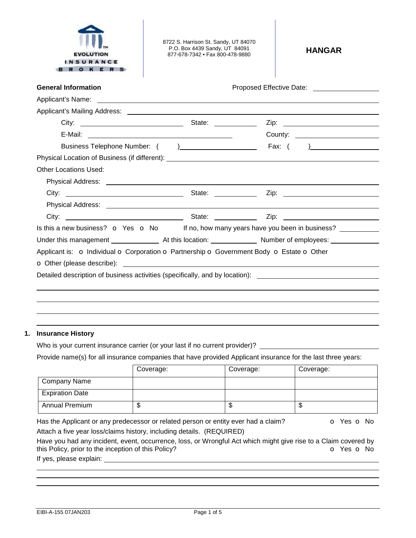

8722 S. Harrison St. Sandy, UT 84070 P.O. Box 4439 Sandy, UT 84091 877-678-7342 • Fax 800-478-9880 **HANGAR** 

| <b>General Information</b>                                                                | Proposed Effective Date: |                                                                                                                       |
|-------------------------------------------------------------------------------------------|--------------------------|-----------------------------------------------------------------------------------------------------------------------|
|                                                                                           |                          |                                                                                                                       |
|                                                                                           |                          |                                                                                                                       |
|                                                                                           |                          |                                                                                                                       |
|                                                                                           |                          |                                                                                                                       |
|                                                                                           |                          | $\begin{array}{c} \hline \end{array}$                                                                                 |
|                                                                                           |                          |                                                                                                                       |
| <b>Other Locations Used:</b>                                                              |                          |                                                                                                                       |
|                                                                                           |                          |                                                                                                                       |
|                                                                                           |                          |                                                                                                                       |
|                                                                                           |                          |                                                                                                                       |
|                                                                                           |                          |                                                                                                                       |
|                                                                                           |                          | Is this a new business? $\bullet$ Yes $\bullet$ No If no, how many years have you been in business?                   |
|                                                                                           |                          |                                                                                                                       |
| Applicant is: o Individual o Corporation o Partnership o Government Body o Estate o Other |                          |                                                                                                                       |
|                                                                                           |                          |                                                                                                                       |
|                                                                                           |                          | Detailed description of business activities (specifically, and by location): <u>_________________________________</u> |
|                                                                                           |                          |                                                                                                                       |
|                                                                                           |                          |                                                                                                                       |
|                                                                                           |                          |                                                                                                                       |

### **1. Insurance History**

Who is your current insurance carrier (or your last if no current provider)? \_

Provide name(s) for all insurance companies that have provided Applicant insurance for the last three years:

|                        | Coverage: | Coverage: | Coverage: |
|------------------------|-----------|-----------|-----------|
| Company Name           |           |           |           |
| <b>Expiration Date</b> |           |           |           |
| <b>Annual Premium</b>  | จ         | ጥ<br>Φ    | ൷<br>Ψ    |

Has the Applicant or any predecessor or related person or entity ever had a claim?  $\bullet$  Yes  $\bullet$  No Attach a five year loss/claims history, including details. (REQUIRED)

Have you had any incident, event, occurrence, loss, or Wrongful Act which might give rise to a Claim covered by<br>this Policy, prior to the inception of this Policy? this Policy, prior to the inception of this Policy? If yes, please explain: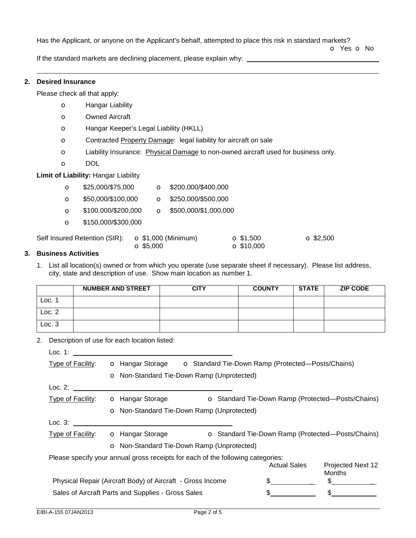Has the Applicant, or anyone on the Applicant's behalf, attempted to place this risk in standard markets?

o Yes o No

If the standard markets are declining placement, please explain why:

## **2. Desired Insurance**

Please check all that apply:

- o Hangar Liability
- o Owned Aircraft
- o Hangar Keeper's Legal Liability (HKLL)
- o Contracted Property Damage: legal liability for aircraft on sale
- o Liability Insurance: Physical Damage to non-owned aircraft used for business only.
- o DOL

**Limit of Liability:** Hangar Liability

| O        | \$25,000/\$75,000             | $\mathbf{o}$     | \$200,000/\$400,000         |                                       |                  |
|----------|-------------------------------|------------------|-----------------------------|---------------------------------------|------------------|
| $\circ$  | \$50,000/\$100,000            | O                | \$250,000/\$500,000         |                                       |                  |
| $\circ$  | \$100,000/\$200,000           | $\circ$          | \$500,000/\$1,000,000       |                                       |                  |
| $\Omega$ | \$150,000/\$300,000           |                  |                             |                                       |                  |
|          | Self Insured Retention (SIR): | $\Omega$ \$5,000 | $\bullet$ \$1,000 (Minimum) | $\Omega$ \$1,500<br>$\Omega$ \$10,000 | $\Omega$ \$2,500 |

### **3. Business Activities**

Loc. 1:

1. List all location(s) owned or from which you operate (use separate sheet if necessary). Please list address, city, state and description of use. Show main location as number 1.

|          | <b>NUMBER AND STREET</b> | <b>CITY</b> | <b>COUNTY</b> | <b>STATE</b> | <b>ZIP CODE</b> |
|----------|--------------------------|-------------|---------------|--------------|-----------------|
| LOC. $4$ |                          |             |               |              |                 |
| Loc. 2   |                          |             |               |              |                 |
| Loc.3    |                          |             |               |              |                 |

2. Description of use for each location listed:

| <b>Type of Facility:</b> | <b>o</b> Hangar Storage                                    | <b>O</b> Standard Tie-Down Ramp (Protected—Posts/Chains)                        |                     |                                                          |
|--------------------------|------------------------------------------------------------|---------------------------------------------------------------------------------|---------------------|----------------------------------------------------------|
|                          |                                                            | O Non-Standard Tie-Down Ramp (Unprotected)                                      |                     |                                                          |
| Loc. 2:                  |                                                            |                                                                                 |                     |                                                          |
| Type of Facility:        | <b>o</b> Hangar Storage                                    |                                                                                 |                     | <b>O</b> Standard Tie-Down Ramp (Protected-Posts/Chains) |
|                          |                                                            | O Non-Standard Tie-Down Ramp (Unprotected)                                      |                     |                                                          |
| Loc. 3:                  |                                                            |                                                                                 |                     |                                                          |
| Type of Facility:        | <b>o</b> Hangar Storage                                    |                                                                                 |                     | <b>O</b> Standard Tie-Down Ramp (Protected—Posts/Chains) |
|                          |                                                            | O Non-Standard Tie-Down Ramp (Unprotected)                                      |                     |                                                          |
|                          |                                                            | Please specify your annual gross receipts for each of the following categories: |                     |                                                          |
|                          |                                                            |                                                                                 | <b>Actual Sales</b> | <b>Projected Next 12</b><br>Months                       |
|                          | Physical Repair (Aircraft Body) of Aircraft - Gross Income |                                                                                 |                     | \$.                                                      |
|                          | Sales of Aircraft Parts and Supplies - Gross Sales         |                                                                                 |                     |                                                          |
|                          |                                                            |                                                                                 |                     |                                                          |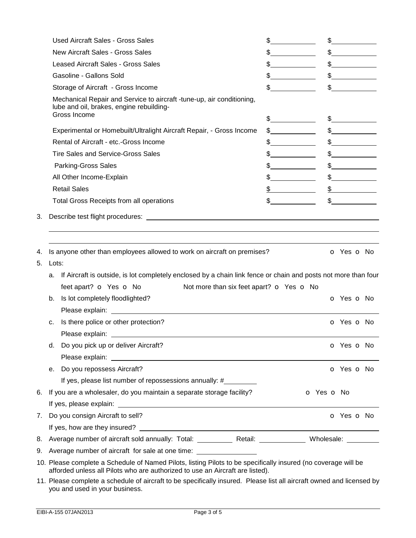|    | <b>Used Aircraft Sales - Gross Sales</b>                                                                                                                                                                                                                                          | \$            | $\begin{array}{c c} \n\end{array}$                                                                                                                                                                                                                                                                                                                                                                                              |
|----|-----------------------------------------------------------------------------------------------------------------------------------------------------------------------------------------------------------------------------------------------------------------------------------|---------------|---------------------------------------------------------------------------------------------------------------------------------------------------------------------------------------------------------------------------------------------------------------------------------------------------------------------------------------------------------------------------------------------------------------------------------|
|    | New Aircraft Sales - Gross Sales                                                                                                                                                                                                                                                  | \$            | $\frac{1}{\sqrt{1-\frac{1}{2}}}\frac{1}{\sqrt{1-\frac{1}{2}}}\frac{1}{\sqrt{1-\frac{1}{2}}}\frac{1}{\sqrt{1-\frac{1}{2}}}\frac{1}{\sqrt{1-\frac{1}{2}}}\frac{1}{\sqrt{1-\frac{1}{2}}}\frac{1}{\sqrt{1-\frac{1}{2}}}\frac{1}{\sqrt{1-\frac{1}{2}}}\frac{1}{\sqrt{1-\frac{1}{2}}}\frac{1}{\sqrt{1-\frac{1}{2}}}\frac{1}{\sqrt{1-\frac{1}{2}}}\frac{1}{\sqrt{1-\frac{1}{2}}}\frac{1}{\sqrt{1-\frac{1}{2}}}\frac{1}{\sqrt{1-\frac{$ |
|    | <b>Leased Aircraft Sales - Gross Sales</b>                                                                                                                                                                                                                                        | \$            | $\frac{1}{2}$                                                                                                                                                                                                                                                                                                                                                                                                                   |
|    | Gasoline - Gallons Sold                                                                                                                                                                                                                                                           | \$            | $\frac{1}{2}$                                                                                                                                                                                                                                                                                                                                                                                                                   |
|    | Storage of Aircraft - Gross Income                                                                                                                                                                                                                                                | \$            | \$                                                                                                                                                                                                                                                                                                                                                                                                                              |
|    | Mechanical Repair and Service to aircraft -tune-up, air conditioning,<br>lube and oil, brakes, engine rebuilding-                                                                                                                                                                 |               |                                                                                                                                                                                                                                                                                                                                                                                                                                 |
|    | Gross Income                                                                                                                                                                                                                                                                      | $\sim$        | $\frac{1}{2}$                                                                                                                                                                                                                                                                                                                                                                                                                   |
|    | Experimental or Homebuilt/Ultralight Aircraft Repair, - Gross Income                                                                                                                                                                                                              | $\frac{1}{2}$ | $\frac{1}{2}$                                                                                                                                                                                                                                                                                                                                                                                                                   |
|    | Rental of Aircraft - etc.-Gross Income                                                                                                                                                                                                                                            | \$            | $\frac{1}{\sqrt{1-\frac{1}{2}}}\frac{1}{\sqrt{1-\frac{1}{2}}}\frac{1}{\sqrt{1-\frac{1}{2}}}\frac{1}{\sqrt{1-\frac{1}{2}}}\frac{1}{\sqrt{1-\frac{1}{2}}}\frac{1}{\sqrt{1-\frac{1}{2}}}\frac{1}{\sqrt{1-\frac{1}{2}}}\frac{1}{\sqrt{1-\frac{1}{2}}}\frac{1}{\sqrt{1-\frac{1}{2}}}\frac{1}{\sqrt{1-\frac{1}{2}}}\frac{1}{\sqrt{1-\frac{1}{2}}}\frac{1}{\sqrt{1-\frac{1}{2}}}\frac{1}{\sqrt{1-\frac{1}{2}}}\frac{1}{\sqrt{1-\frac{$ |
|    | <b>Tire Sales and Service-Gross Sales</b>                                                                                                                                                                                                                                         | \$            | $\frac{1}{2}$                                                                                                                                                                                                                                                                                                                                                                                                                   |
|    | <b>Parking-Gross Sales</b>                                                                                                                                                                                                                                                        | \$            | $\sim$                                                                                                                                                                                                                                                                                                                                                                                                                          |
|    | All Other Income-Explain                                                                                                                                                                                                                                                          | \$            | $\frac{1}{2}$                                                                                                                                                                                                                                                                                                                                                                                                                   |
|    | <b>Retail Sales</b>                                                                                                                                                                                                                                                               | \$            | $\frac{1}{2}$                                                                                                                                                                                                                                                                                                                                                                                                                   |
|    | Total Gross Receipts from all operations                                                                                                                                                                                                                                          | \$            | \$                                                                                                                                                                                                                                                                                                                                                                                                                              |
| 3. |                                                                                                                                                                                                                                                                                   |               |                                                                                                                                                                                                                                                                                                                                                                                                                                 |
| 5. | Lots:<br>If Aircraft is outside, is lot completely enclosed by a chain link fence or chain and posts not more than four<br>а.<br>feet apart? <b>o</b> Yes <b>o</b> No<br>Not more than six feet apart? o Yes o No<br>Is lot completely floodlighted?<br>b.                        |               | o Yes o No                                                                                                                                                                                                                                                                                                                                                                                                                      |
|    |                                                                                                                                                                                                                                                                                   |               |                                                                                                                                                                                                                                                                                                                                                                                                                                 |
|    | Is there police or other protection?<br>с.<br>Please explain: The contract of the contract of the contract of the contract of the contract of the contract of the contract of the contract of the contract of the contract of the contract of the contract of the contract o      |               | O Yes O No                                                                                                                                                                                                                                                                                                                                                                                                                      |
|    | Do you pick up or deliver Aircraft?<br>d.<br>Please explain: <u>example and the set of the set of the set of the set of the set of the set of the set of the set of the set of the set of the set of the set of the set of the set of the set of the set of the set of the se</u> |               | <b>o</b> Yes <b>o</b> No                                                                                                                                                                                                                                                                                                                                                                                                        |
|    | Do you repossess Aircraft?<br>е.                                                                                                                                                                                                                                                  |               | o Yes o No                                                                                                                                                                                                                                                                                                                                                                                                                      |
|    | If yes, please list number of repossessions annually: #                                                                                                                                                                                                                           |               |                                                                                                                                                                                                                                                                                                                                                                                                                                 |
|    | 6. If you are a wholesaler, do you maintain a separate storage facility?                                                                                                                                                                                                          |               | o Yes o No                                                                                                                                                                                                                                                                                                                                                                                                                      |
|    |                                                                                                                                                                                                                                                                                   |               |                                                                                                                                                                                                                                                                                                                                                                                                                                 |
| 7. | Do you consign Aircraft to sell?                                                                                                                                                                                                                                                  |               | <b>o</b> Yes <b>o</b> No                                                                                                                                                                                                                                                                                                                                                                                                        |
|    |                                                                                                                                                                                                                                                                                   |               |                                                                                                                                                                                                                                                                                                                                                                                                                                 |
| 8. | Average number of aircraft sold annually: Total: ___________ Retail: ____________ Wholesale: _______                                                                                                                                                                              |               |                                                                                                                                                                                                                                                                                                                                                                                                                                 |
| 9. | Average number of aircraft for sale at one time:                                                                                                                                                                                                                                  |               |                                                                                                                                                                                                                                                                                                                                                                                                                                 |
|    | 10. Please complete a Schedule of Named Pilots, listing Pilots to be specifically insured (no coverage will be                                                                                                                                                                    |               |                                                                                                                                                                                                                                                                                                                                                                                                                                 |
|    | afforded unless all Pilots who are authorized to use an Aircraft are listed).                                                                                                                                                                                                     |               |                                                                                                                                                                                                                                                                                                                                                                                                                                 |

11. Please complete a schedule of aircraft to be specifically insured. Please list all aircraft owned and licensed by you and used in your business.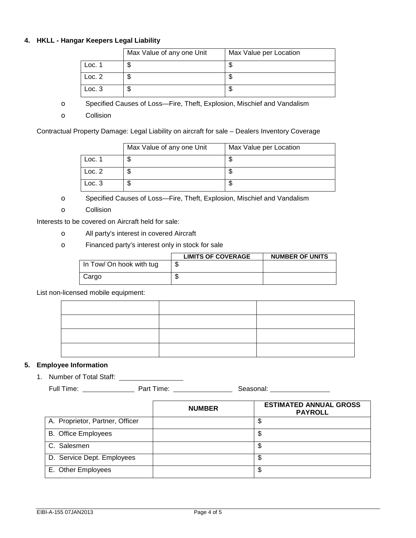# **4. HKLL - Hangar Keepers Legal Liability**

|        | Max Value of any one Unit | Max Value per Location |
|--------|---------------------------|------------------------|
| Loc. 1 |                           |                        |
| Loc. 2 |                           |                        |
| Loc.3  | ง                         |                        |

- o Specified Causes of Loss—Fire, Theft, Explosion, Mischief and Vandalism
- o Collision

Contractual Property Damage: Legal Liability on aircraft for sale – Dealers Inventory Coverage

|        | Max Value of any one Unit | Max Value per Location |
|--------|---------------------------|------------------------|
| Loc. 1 |                           |                        |
| Loc. 2 | Φ                         | Φ                      |
| Loc.3  | Φ                         | ง                      |

- o Specified Causes of Loss—Fire, Theft, Explosion, Mischief and Vandalism
- o Collision

Interests to be covered on Aircraft held for sale:

- o All party's interest in covered Aircraft
- o Financed party's interest only in stock for sale

|                          | <b>LIMITS OF COVERAGE</b> | <b>NUMBER OF UNITS</b> |
|--------------------------|---------------------------|------------------------|
| In Tow/ On hook with tug |                           |                        |
| Cargo                    |                           |                        |

List non-licensed mobile equipment:

## **5. Employee Information**

1. Number of Total Staff:

Full Time: Part Time: Seasonal:

|                                 | <b>NUMBER</b> | <b>ESTIMATED ANNUAL GROSS</b><br><b>PAYROLL</b> |  |
|---------------------------------|---------------|-------------------------------------------------|--|
| A. Proprietor, Partner, Officer |               | \$                                              |  |
| <b>B.</b> Office Employees      |               | \$                                              |  |
| C. Salesmen                     |               | S                                               |  |
| D. Service Dept. Employees      |               | S                                               |  |
| E. Other Employees              |               | S                                               |  |